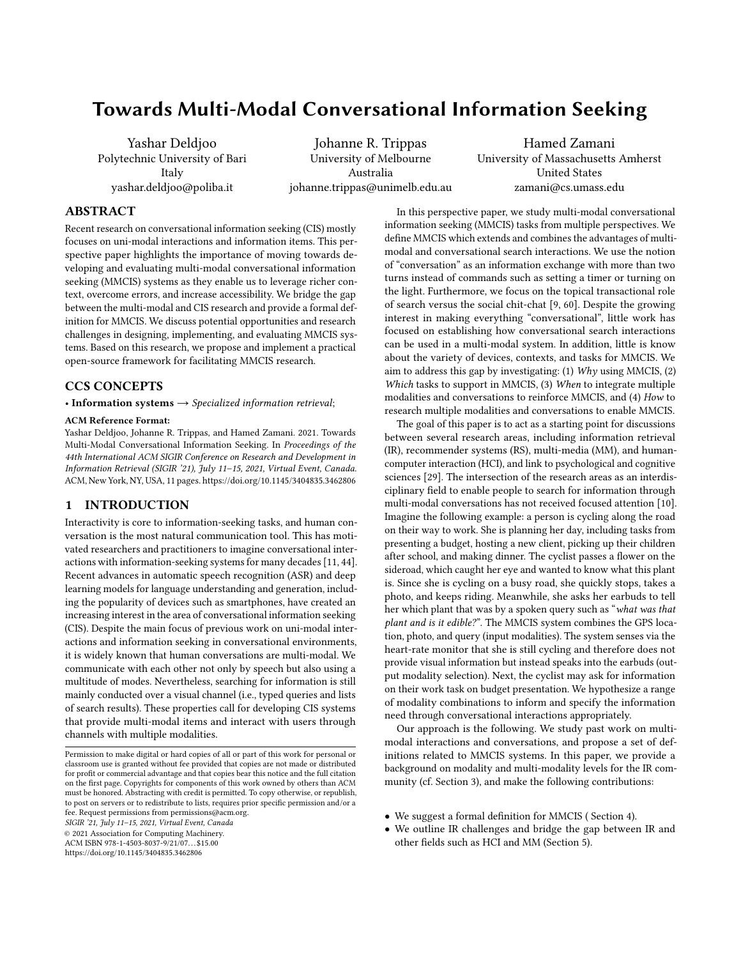# Towards Multi-Modal Conversational Information Seeking

Yashar Deldjoo Polytechnic University of Bari Italy yashar.deldjoo@poliba.it

Johanne R. Trippas University of Melbourne Australia johanne.trippas@unimelb.edu.au

Hamed Zamani University of Massachusetts Amherst United States zamani@cs.umass.edu

### ABSTRACT

Recent research on conversational information seeking (CIS) mostly focuses on uni-modal interactions and information items. This perspective paper highlights the importance of moving towards developing and evaluating multi-modal conversational information seeking (MMCIS) systems as they enable us to leverage richer context, overcome errors, and increase accessibility. We bridge the gap between the multi-modal and CIS research and provide a formal definition for MMCIS. We discuss potential opportunities and research challenges in designing, implementing, and evaluating MMCIS systems. Based on this research, we propose and implement a practical open-source framework for facilitating MMCIS research.

## CCS CONCEPTS

• Information systems  $\rightarrow$  Specialized information retrieval;

#### ACM Reference Format:

Yashar Deldjoo, Johanne R. Trippas, and Hamed Zamani. 2021. Towards Multi-Modal Conversational Information Seeking. In Proceedings of the 44th International ACM SIGIR Conference on Research and Development in Information Retrieval (SIGIR '21), July 11–15, 2021, Virtual Event, Canada. ACM, New York, NY, USA, [11](#page-10-0) pages.<https://doi.org/10.1145/3404835.3462806>

## <span id="page-0-0"></span>1 INTRODUCTION

Interactivity is core to information-seeking tasks, and human conversation is the most natural communication tool. This has motivated researchers and practitioners to imagine conversational interactions with information-seeking systems for many decades [\[11,](#page-9-0) [44\]](#page-9-1). Recent advances in automatic speech recognition (ASR) and deep learning models for language understanding and generation, including the popularity of devices such as smartphones, have created an increasing interest in the area of conversational information seeking (CIS). Despite the main focus of previous work on uni-modal interactions and information seeking in conversational environments, it is widely known that human conversations are multi-modal. We communicate with each other not only by speech but also using a multitude of modes. Nevertheless, searching for information is still mainly conducted over a visual channel (i.e., typed queries and lists of search results). These properties call for developing CIS systems that provide multi-modal items and interact with users through channels with multiple modalities.

SIGIR '21, July 11–15, 2021, Virtual Event, Canada © 2021 Association for Computing Machinery.

ACM ISBN 978-1-4503-8037-9/21/07. . . \$15.00

<https://doi.org/10.1145/3404835.3462806>

In this perspective paper, we study multi-modal conversational information seeking (MMCIS) tasks from multiple perspectives. We define MMCIS which extends and combines the advantages of multimodal and conversational search interactions. We use the notion of "conversation" as an information exchange with more than two turns instead of commands such as setting a timer or turning on the light. Furthermore, we focus on the topical transactional role of search versus the social chit-chat [\[9,](#page-9-2) [60\]](#page-10-1). Despite the growing interest in making everything "conversational", little work has focused on establishing how conversational search interactions can be used in a multi-modal system. In addition, little is know about the variety of devices, contexts, and tasks for MMCIS. We aim to address this gap by investigating: (1) Why using MMCIS, (2) Which tasks to support in MMCIS, (3) When to integrate multiple modalities and conversations to reinforce MMCIS, and (4) How to research multiple modalities and conversations to enable MMCIS.

The goal of this paper is to act as a starting point for discussions between several research areas, including information retrieval (IR), recommender systems (RS), multi-media (MM), and humancomputer interaction (HCI), and link to psychological and cognitive sciences [\[29\]](#page-9-3). The intersection of the research areas as an interdisciplinary field to enable people to search for information through multi-modal conversations has not received focused attention [\[10\]](#page-9-4). Imagine the following example: a person is cycling along the road on their way to work. She is planning her day, including tasks from presenting a budget, hosting a new client, picking up their children after school, and making dinner. The cyclist passes a flower on the sideroad, which caught her eye and wanted to know what this plant is. Since she is cycling on a busy road, she quickly stops, takes a photo, and keeps riding. Meanwhile, she asks her earbuds to tell her which plant that was by a spoken query such as "what was that plant and is it edible?". The MMCIS system combines the GPS location, photo, and query (input modalities). The system senses via the heart-rate monitor that she is still cycling and therefore does not provide visual information but instead speaks into the earbuds (output modality selection). Next, the cyclist may ask for information on their work task on budget presentation. We hypothesize a range of modality combinations to inform and specify the information need through conversational interactions appropriately.

Our approach is the following. We study past work on multimodal interactions and conversations, and propose a set of definitions related to MMCIS systems. In this paper, we provide a background on modality and multi-modality levels for the IR community (cf. Section [3\)](#page-2-0), and make the following contributions:

- We suggest a formal definition for MMCIS ( Section [4\)](#page-3-0).
- We outline IR challenges and bridge the gap between IR and other fields such as HCI and MM (Section [5\)](#page-6-0).

Permission to make digital or hard copies of all or part of this work for personal or classroom use is granted without fee provided that copies are not made or distributed for profit or commercial advantage and that copies bear this notice and the full citation on the first page. Copyrights for components of this work owned by others than ACM must be honored. Abstracting with credit is permitted. To copy otherwise, or republish, to post on servers or to redistribute to lists, requires prior specific permission and/or a fee. Request permissions from permissions@acm.org.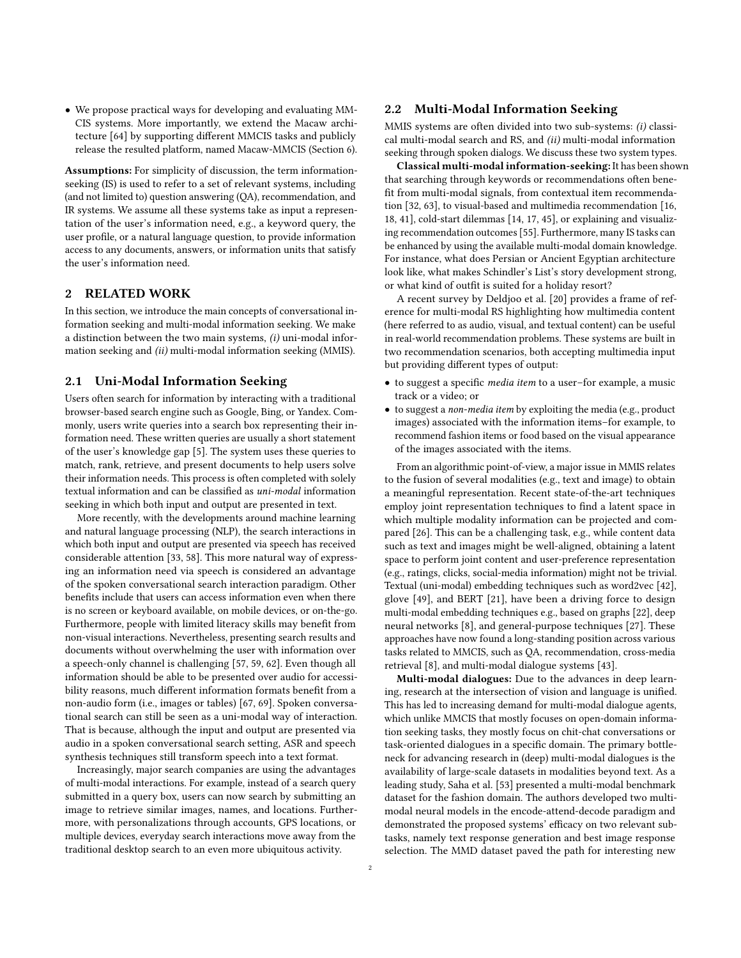• We propose practical ways for developing and evaluating MM-CIS systems. More importantly, we extend the Macaw architecture [\[64\]](#page-10-2) by supporting different MMCIS tasks and publicly release the resulted platform, named Macaw-MMCIS (Section [6\)](#page-7-0).

Assumptions: For simplicity of discussion, the term informationseeking (IS) is used to refer to a set of relevant systems, including (and not limited to) question answering (QA), recommendation, and IR systems. We assume all these systems take as input a representation of the user's information need, e.g., a keyword query, the user profile, or a natural language question, to provide information access to any documents, answers, or information units that satisfy the user's information need.

## 2 RELATED WORK

In this section, we introduce the main concepts of conversational information seeking and multi-modal information seeking. We make a distinction between the two main systems, (i) uni-modal information seeking and (ii) multi-modal information seeking (MMIS).

#### 2.1 Uni-Modal Information Seeking

Users often search for information by interacting with a traditional browser-based search engine such as Google, Bing, or Yandex. Commonly, users write queries into a search box representing their information need. These written queries are usually a short statement of the user's knowledge gap [\[5\]](#page-9-5). The system uses these queries to match, rank, retrieve, and present documents to help users solve their information needs. This process is often completed with solely textual information and can be classified as uni-modal information seeking in which both input and output are presented in text.

More recently, with the developments around machine learning and natural language processing (NLP), the search interactions in which both input and output are presented via speech has received considerable attention [\[33,](#page-9-6) [58\]](#page-10-3). This more natural way of expressing an information need via speech is considered an advantage of the spoken conversational search interaction paradigm. Other benefits include that users can access information even when there is no screen or keyboard available, on mobile devices, or on-the-go. Furthermore, people with limited literacy skills may benefit from non-visual interactions. Nevertheless, presenting search results and documents without overwhelming the user with information over a speech-only channel is challenging [\[57,](#page-10-4) [59,](#page-10-5) [62\]](#page-10-6). Even though all information should be able to be presented over audio for accessibility reasons, much different information formats benefit from a non-audio form (i.e., images or tables) [\[67,](#page-10-7) [69\]](#page-10-8). Spoken conversational search can still be seen as a uni-modal way of interaction. That is because, although the input and output are presented via audio in a spoken conversational search setting, ASR and speech synthesis techniques still transform speech into a text format.

Increasingly, major search companies are using the advantages of multi-modal interactions. For example, instead of a search query submitted in a query box, users can now search by submitting an image to retrieve similar images, names, and locations. Furthermore, with personalizations through accounts, GPS locations, or multiple devices, everyday search interactions move away from the traditional desktop search to an even more ubiquitous activity.

#### 2.2 Multi-Modal Information Seeking

MMIS systems are often divided into two sub-systems: (i) classical multi-modal search and RS, and (ii) multi-modal information seeking through spoken dialogs. We discuss these two system types.

Classical multi-modal information-seeking: It has been shown that searching through keywords or recommendations often benefit from multi-modal signals, from contextual item recommendation [\[32,](#page-9-7) [63\]](#page-10-9), to visual-based and multimedia recommendation [\[16,](#page-9-8) [18,](#page-9-9) [41\]](#page-9-10), cold-start dilemmas [\[14,](#page-9-11) [17,](#page-9-12) [45\]](#page-9-13), or explaining and visualizing recommendation outcomes [\[55\]](#page-10-10). Furthermore, many IS tasks can be enhanced by using the available multi-modal domain knowledge. For instance, what does Persian or Ancient Egyptian architecture look like, what makes Schindler's List's story development strong, or what kind of outfit is suited for a holiday resort?

A recent survey by Deldjoo et al. [\[20\]](#page-9-14) provides a frame of reference for multi-modal RS highlighting how multimedia content (here referred to as audio, visual, and textual content) can be useful in real-world recommendation problems. These systems are built in two recommendation scenarios, both accepting multimedia input but providing different types of output:

- to suggest a specific media item to a user–for example, a music track or a video; or
- to suggest a non-media item by exploiting the media (e.g., product images) associated with the information items–for example, to recommend fashion items or food based on the visual appearance of the images associated with the items.

From an algorithmic point-of-view, a major issue in MMIS relates to the fusion of several modalities (e.g., text and image) to obtain a meaningful representation. Recent state-of-the-art techniques employ joint representation techniques to find a latent space in which multiple modality information can be projected and compared [\[26\]](#page-9-15). This can be a challenging task, e.g., while content data such as text and images might be well-aligned, obtaining a latent space to perform joint content and user-preference representation (e.g., ratings, clicks, social-media information) might not be trivial. Textual (uni-modal) embedding techniques such as word2vec [\[42\]](#page-9-16), glove [\[49\]](#page-10-11), and BERT [\[21\]](#page-9-17), have been a driving force to design multi-modal embedding techniques e.g., based on graphs [\[22\]](#page-9-18), deep neural networks [\[8\]](#page-9-19), and general-purpose techniques [\[27\]](#page-9-20). These approaches have now found a long-standing position across various tasks related to MMCIS, such as QA, recommendation, cross-media retrieval [\[8\]](#page-9-19), and multi-modal dialogue systems [\[43\]](#page-9-21).

Multi-modal dialogues: Due to the advances in deep learning, research at the intersection of vision and language is unified. This has led to increasing demand for multi-modal dialogue agents, which unlike MMCIS that mostly focuses on open-domain information seeking tasks, they mostly focus on chit-chat conversations or task-oriented dialogues in a specific domain. The primary bottleneck for advancing research in (deep) multi-modal dialogues is the availability of large-scale datasets in modalities beyond text. As a leading study, Saha et al. [\[53\]](#page-10-12) presented a multi-modal benchmark dataset for the fashion domain. The authors developed two multimodal neural models in the encode-attend-decode paradigm and demonstrated the proposed systems' efficacy on two relevant subtasks, namely text response generation and best image response selection. The MMD dataset paved the path for interesting new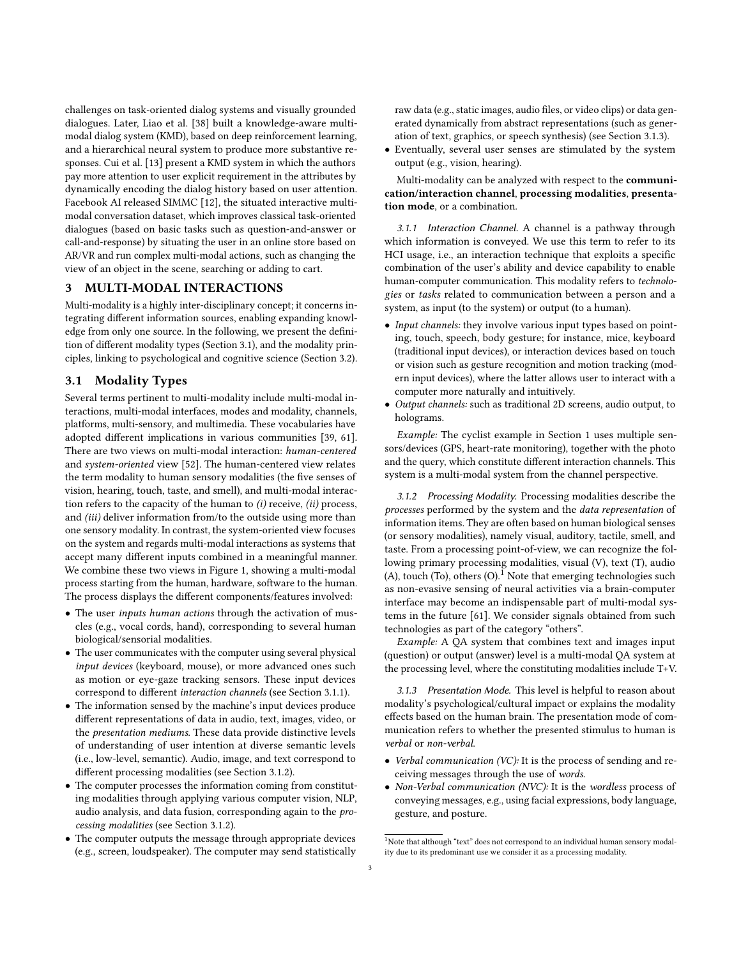challenges on task-oriented dialog systems and visually grounded dialogues. Later, Liao et al. [\[38\]](#page-9-22) built a knowledge-aware multimodal dialog system (KMD), based on deep reinforcement learning, and a hierarchical neural system to produce more substantive responses. Cui et al. [\[13\]](#page-9-23) present a KMD system in which the authors pay more attention to user explicit requirement in the attributes by dynamically encoding the dialog history based on user attention. Facebook AI released SIMMC [\[12\]](#page-9-24), the situated interactive multimodal conversation dataset, which improves classical task-oriented dialogues (based on basic tasks such as question-and-answer or call-and-response) by situating the user in an online store based on AR/VR and run complex multi-modal actions, such as changing the view of an object in the scene, searching or adding to cart.

#### <span id="page-2-0"></span>3 MULTI-MODAL INTERACTIONS

Multi-modality is a highly inter-disciplinary concept; it concerns integrating different information sources, enabling expanding knowledge from only one source. In the following, we present the definition of different modality types (Section [3.1\)](#page-2-1), and the modality principles, linking to psychological and cognitive science (Section [3.2\)](#page-3-1).

## <span id="page-2-1"></span>3.1 Modality Types

Several terms pertinent to multi-modality include multi-modal interactions, multi-modal interfaces, modes and modality, channels, platforms, multi-sensory, and multimedia. These vocabularies have adopted different implications in various communities [\[39,](#page-9-25) [61\]](#page-10-13). There are two views on multi-modal interaction: human-centered and system-oriented view [\[52\]](#page-10-14). The human-centered view relates the term modality to human sensory modalities (the five senses of vision, hearing, touch, taste, and smell), and multi-modal interaction refers to the capacity of the human to (i) receive, (ii) process, and (iii) deliver information from/to the outside using more than one sensory modality. In contrast, the system-oriented view focuses on the system and regards multi-modal interactions as systems that accept many different inputs combined in a meaningful manner. We combine these two views in Figure [1,](#page-3-2) showing a multi-modal process starting from the human, hardware, software to the human. The process displays the different components/features involved:

- The user *inputs human actions* through the activation of muscles (e.g., vocal cords, hand), corresponding to several human biological/sensorial modalities.
- The user communicates with the computer using several physical input devices (keyboard, mouse), or more advanced ones such as motion or eye-gaze tracking sensors. These input devices correspond to different interaction channels (see Section [3.1.1\)](#page-2-2).
- The information sensed by the machine's input devices produce different representations of data in audio, text, images, video, or the presentation mediums. These data provide distinctive levels of understanding of user intention at diverse semantic levels (i.e., low-level, semantic). Audio, image, and text correspond to different processing modalities (see Section [3.1.2\)](#page-2-3).
- The computer processes the information coming from constituting modalities through applying various computer vision, NLP, audio analysis, and data fusion, corresponding again to the processing modalities (see Section [3.1.2\)](#page-2-3).
- The computer outputs the message through appropriate devices (e.g., screen, loudspeaker). The computer may send statistically

raw data (e.g., static images, audio files, or video clips) or data generated dynamically from abstract representations (such as generation of text, graphics, or speech synthesis) (see Section [3.1.3\)](#page-2-4).

• Eventually, several user senses are stimulated by the system output (e.g., vision, hearing).

Multi-modality can be analyzed with respect to the communication/interaction channel, processing modalities, presentation mode, or a combination.

<span id="page-2-2"></span>3.1.1 Interaction Channel. A channel is a pathway through which information is conveyed. We use this term to refer to its HCI usage, i.e., an interaction technique that exploits a specific combination of the user's ability and device capability to enable human-computer communication. This modality refers to technologies or tasks related to communication between a person and a system, as input (to the system) or output (to a human).

- Input channels: they involve various input types based on pointing, touch, speech, body gesture; for instance, mice, keyboard (traditional input devices), or interaction devices based on touch or vision such as gesture recognition and motion tracking (modern input devices), where the latter allows user to interact with a computer more naturally and intuitively.
- Output channels: such as traditional 2D screens, audio output, to holograms.

Example: The cyclist example in Section [1](#page-0-0) uses multiple sensors/devices (GPS, heart-rate monitoring), together with the photo and the query, which constitute different interaction channels. This system is a multi-modal system from the channel perspective.

<span id="page-2-3"></span>3.1.2 Processing Modality. Processing modalities describe the processes performed by the system and the data representation of information items. They are often based on human biological senses (or sensory modalities), namely visual, auditory, tactile, smell, and taste. From a processing point-of-view, we can recognize the following primary processing modalities, visual (V), text (T), audio (A), touch (To), others (O).<sup>[1](#page-2-5)</sup> Note that emerging technologies such as non-evasive sensing of neural activities via a brain-computer interface may become an indispensable part of multi-modal systems in the future [\[61\]](#page-10-13). We consider signals obtained from such technologies as part of the category "others".

Example: A QA system that combines text and images input (question) or output (answer) level is a multi-modal QA system at the processing level, where the constituting modalities include T+V.

<span id="page-2-4"></span>3.1.3 Presentation Mode. This level is helpful to reason about modality's psychological/cultural impact or explains the modality effects based on the human brain. The presentation mode of communication refers to whether the presented stimulus to human is verbal or non-verbal.

- Verbal communication (VC): It is the process of sending and receiving messages through the use of words.
- Non-Verbal communication (NVC): It is the wordless process of conveying messages, e.g., using facial expressions, body language, gesture, and posture.

<span id="page-2-5"></span> $^1$  Note that although "text" does not correspond to an individual human sensory modality due to its predominant use we consider it as a processing modality.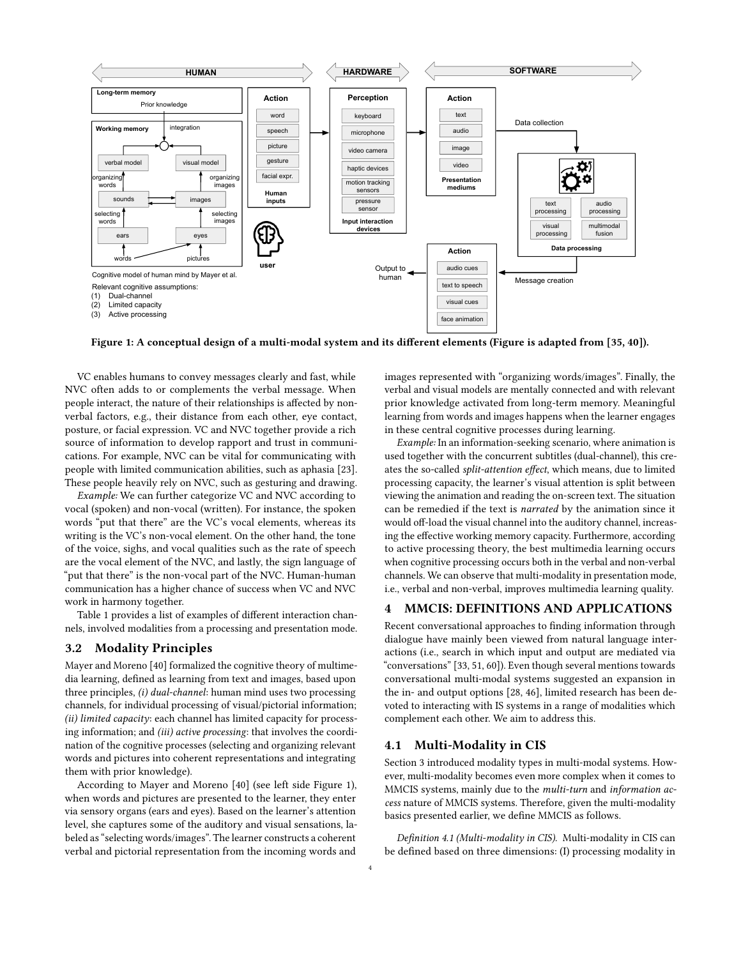<span id="page-3-2"></span>

Figure 1: A conceptual design of a multi-modal system and its different elements (Figure is adapted from [\[35,](#page-9-26) [40\]](#page-9-27)).

VC enables humans to convey messages clearly and fast, while NVC often adds to or complements the verbal message. When people interact, the nature of their relationships is affected by nonverbal factors, e.g., their distance from each other, eye contact, posture, or facial expression. VC and NVC together provide a rich source of information to develop rapport and trust in communications. For example, NVC can be vital for communicating with people with limited communication abilities, such as aphasia [\[23\]](#page-9-28). These people heavily rely on NVC, such as gesturing and drawing.

Example: We can further categorize VC and NVC according to vocal (spoken) and non-vocal (written). For instance, the spoken words "put that there" are the VC's vocal elements, whereas its writing is the VC's non-vocal element. On the other hand, the tone of the voice, sighs, and vocal qualities such as the rate of speech are the vocal element of the NVC, and lastly, the sign language of "put that there" is the non-vocal part of the NVC. Human-human communication has a higher chance of success when VC and NVC work in harmony together.

Table [1](#page-4-0) provides a list of examples of different interaction channels, involved modalities from a processing and presentation mode.

#### <span id="page-3-1"></span>3.2 Modality Principles

Mayer and Moreno [\[40\]](#page-9-27) formalized the cognitive theory of multimedia learning, defined as learning from text and images, based upon three principles, (i) dual-channel: human mind uses two processing channels, for individual processing of visual/pictorial information; (ii) limited capacity: each channel has limited capacity for processing information; and (iii) active processing: that involves the coordination of the cognitive processes (selecting and organizing relevant words and pictures into coherent representations and integrating them with prior knowledge).

According to Mayer and Moreno [\[40\]](#page-9-27) (see left side Figure [1\)](#page-3-2), when words and pictures are presented to the learner, they enter via sensory organs (ears and eyes). Based on the learner's attention level, she captures some of the auditory and visual sensations, labeled as "selecting words/images". The learner constructs a coherent verbal and pictorial representation from the incoming words and

images represented with "organizing words/images". Finally, the verbal and visual models are mentally connected and with relevant prior knowledge activated from long-term memory. Meaningful learning from words and images happens when the learner engages in these central cognitive processes during learning.

Example: In an information-seeking scenario, where animation is used together with the concurrent subtitles (dual-channel), this creates the so-called split-attention effect, which means, due to limited processing capacity, the learner's visual attention is split between viewing the animation and reading the on-screen text. The situation can be remedied if the text is narrated by the animation since it would off-load the visual channel into the auditory channel, increasing the effective working memory capacity. Furthermore, according to active processing theory, the best multimedia learning occurs when cognitive processing occurs both in the verbal and non-verbal channels. We can observe that multi-modality in presentation mode, i.e., verbal and non-verbal, improves multimedia learning quality.

#### <span id="page-3-0"></span>4 MMCIS: DEFINITIONS AND APPLICATIONS

Recent conversational approaches to finding information through dialogue have mainly been viewed from natural language interactions (i.e., search in which input and output are mediated via "conversations" [\[33,](#page-9-6) [51,](#page-10-15) [60\]](#page-10-1)). Even though several mentions towards conversational multi-modal systems suggested an expansion in the in- and output options [\[28,](#page-9-29) [46\]](#page-9-30), limited research has been devoted to interacting with IS systems in a range of modalities which complement each other. We aim to address this.

#### 4.1 Multi-Modality in CIS

Section [3](#page-2-0) introduced modality types in multi-modal systems. However, multi-modality becomes even more complex when it comes to MMCIS systems, mainly due to the multi-turn and information access nature of MMCIS systems. Therefore, given the multi-modality basics presented earlier, we define MMCIS as follows.

Definition 4.1 (Multi-modality in CIS). Multi-modality in CIS can be defined based on three dimensions: (I) processing modality in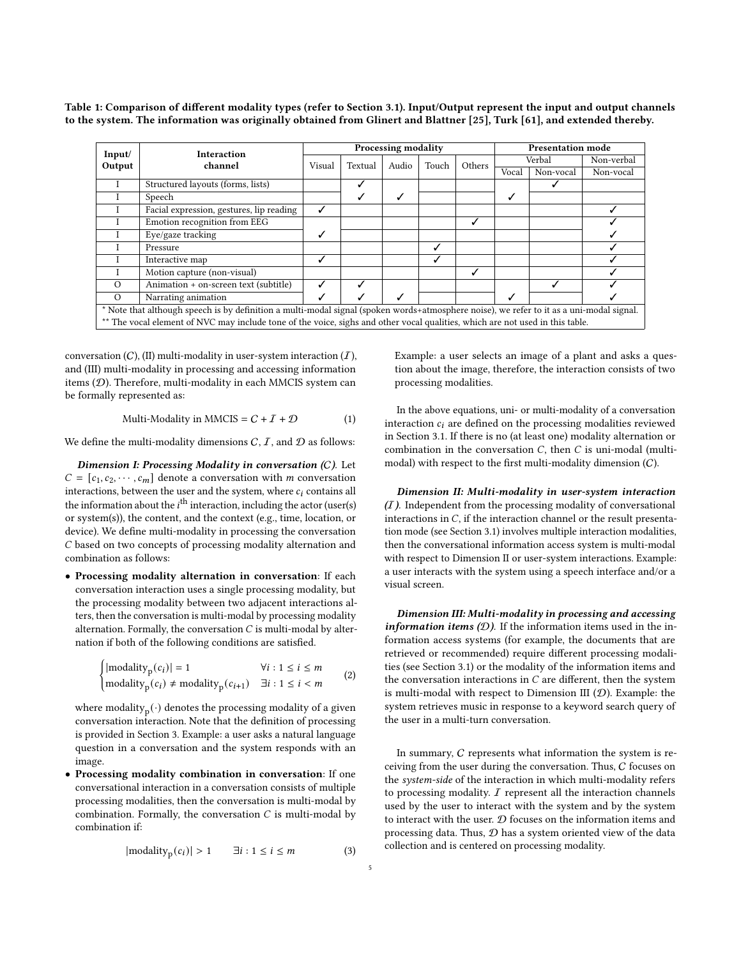<span id="page-4-0"></span>Table 1: Comparison of different modality types (refer to Section [3.1\)](#page-2-1). Input/Output represent the input and output channels to the system. The information was originally obtained from Glinert and Blattner [\[25\]](#page-9-31), Turk [\[61\]](#page-10-13), and extended thereby.

| Input/                                                                                                                                   | <b>Interaction</b>                       | <b>Processing modality</b> |         |       |       |        | <b>Presentation mode</b> |           |            |
|------------------------------------------------------------------------------------------------------------------------------------------|------------------------------------------|----------------------------|---------|-------|-------|--------|--------------------------|-----------|------------|
| Output                                                                                                                                   | channel                                  | Visual                     | Textual | Audio | Touch | Others | Verbal                   |           | Non-verbal |
|                                                                                                                                          |                                          |                            |         |       |       |        | Vocal                    | Non-vocal | Non-vocal  |
|                                                                                                                                          | Structured layouts (forms, lists)        |                            |         |       |       |        |                          |           |            |
|                                                                                                                                          | Speech                                   |                            | ✓       | ✓     |       |        | √                        |           |            |
|                                                                                                                                          | Facial expression, gestures, lip reading | ✓                          |         |       |       |        |                          |           |            |
|                                                                                                                                          | Emotion recognition from EEG             |                            |         |       |       | J      |                          |           |            |
|                                                                                                                                          | Eye/gaze tracking                        |                            |         |       |       |        |                          |           |            |
|                                                                                                                                          | Pressure                                 |                            |         |       | √     |        |                          |           |            |
|                                                                                                                                          | Interactive map                          | √                          |         |       | ✓     |        |                          |           |            |
|                                                                                                                                          | Motion capture (non-visual)              |                            |         |       |       |        |                          |           |            |
| $\Omega$                                                                                                                                 | Animation + on-screen text (subtitle)    | ↵                          |         |       |       |        |                          |           |            |
| $\Omega$                                                                                                                                 | Narrating animation                      |                            |         |       |       |        |                          |           |            |
| * Note that although speech is by definition a multi-modal signal (spoken words+atmosphere noise), we refer to it as a uni-modal signal. |                                          |                            |         |       |       |        |                          |           |            |
| ** The vocal element of NVC may include tone of the voice, sighs and other vocal qualities, which are not used in this table.            |                                          |                            |         |       |       |        |                          |           |            |

conversation  $(C)$ ,  $(II)$  multi-modality in user-system interaction  $(I)$ , and (III) multi-modality in processing and accessing information items (D). Therefore, multi-modality in each MMCIS system can be formally represented as:

Multi-Modality in MMCIS = 
$$
C + I + D
$$
 (1)

We define the multi-modality dimensions  $C, I$ , and  $D$  as follows:

Dimension I: Processing Modality in conversation (C). Let  $C = [c_1, c_2, \cdots, c_m]$  denote a conversation with *m* conversation interactions, between the user and the system, where  $c_i$  contains all the information about the  $i^{\text{th}}$  interaction, including the actor (user(s) or system(s)), the content, and the context (e.g., time, location, or device). We define multi-modality in processing the conversation C based on two concepts of processing modality alternation and combination as follows:

• Processing modality alternation in conversation: If each conversation interaction uses a single processing modality, but the processing modality between two adjacent interactions alters, then the conversation is multi-modal by processing modality alternation. Formally, the conversation  $C$  is multi-modal by alternation if both of the following conditions are satisfied.

$$
\begin{cases}\n|\text{modality}_p(c_i)| = 1 & \forall i : 1 \le i \le m \\
\text{modality}_p(c_i) \neq \text{modality}_p(c_{i+1}) & \exists i : 1 \le i < m\n\end{cases} \tag{2}
$$

where modality ${}_{\rm p}(\cdot)$  denotes the processing modality of a given conversation interaction. Note that the definition of processing is provided in Section [3.](#page-2-0) Example: a user asks a natural language question in a conversation and the system responds with an image.

• Processing modality combination in conversation: If one conversational interaction in a conversation consists of multiple processing modalities, then the conversation is multi-modal by combination. Formally, the conversation  $C$  is multi-modal by combination if:

$$
|modality_p(c_i)| > 1 \qquad \exists i : 1 \le i \le m \tag{3}
$$

Dimension II: Multi-modality in user-system interaction

processing modalities.

 $(I)$ . Independent from the processing modality of conversational interactions in  $C$ , if the interaction channel or the result presentation mode (see Section [3.1\)](#page-2-1) involves multiple interaction modalities, then the conversational information access system is multi-modal with respect to Dimension II or user-system interactions. Example: a user interacts with the system using a speech interface and/or a visual screen.

Example: a user selects an image of a plant and asks a question about the image, therefore, the interaction consists of two

In the above equations, uni- or multi-modality of a conversation interaction  $c_i$  are defined on the processing modalities reviewed in Section [3.1.](#page-2-1) If there is no (at least one) modality alternation or combination in the conversation  $C$ , then  $C$  is uni-modal (multimodal) with respect to the first multi-modality dimension (C).

Dimension III: Multi-modality in processing and accessing information items  $(D)$ . If the information items used in the information access systems (for example, the documents that are retrieved or recommended) require different processing modalities (see Section [3.1\)](#page-2-1) or the modality of the information items and the conversation interactions in  $C$  are different, then the system is multi-modal with respect to Dimension III  $(D)$ . Example: the system retrieves music in response to a keyword search query of the user in a multi-turn conversation.

In summary, C represents what information the system is receiving from the user during the conversation. Thus, C focuses on the system-side of the interaction in which multi-modality refers to processing modality.  $I$  represent all the interaction channels used by the user to interact with the system and by the system to interact with the user.  $D$  focuses on the information items and processing data. Thus,  $D$  has a system oriented view of the data collection and is centered on processing modality.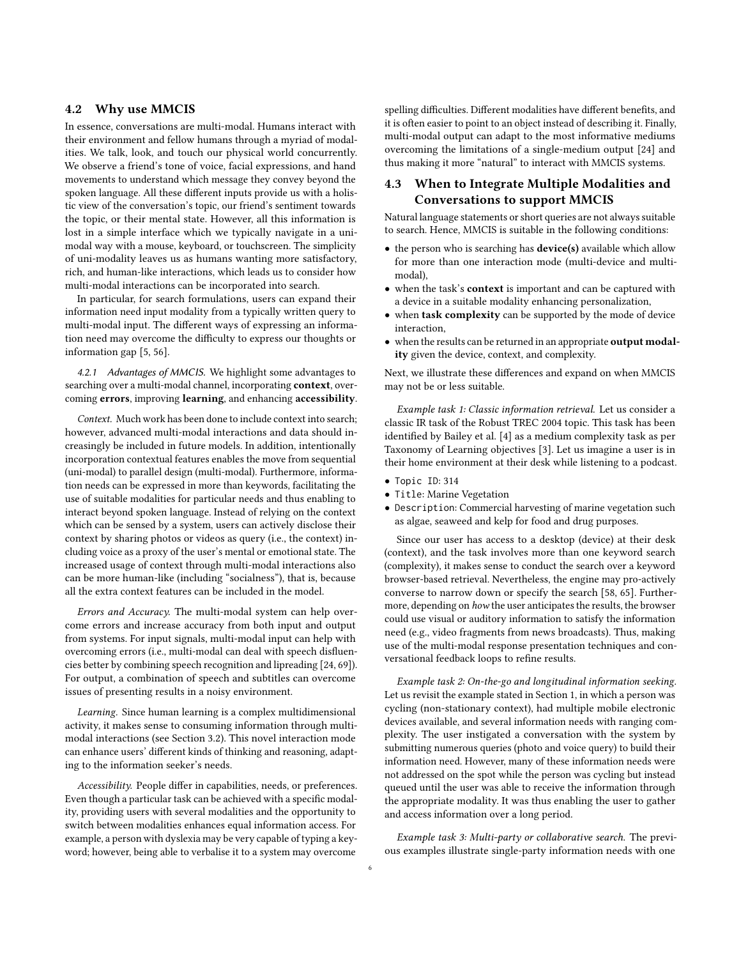#### 4.2 Why use MMCIS

In essence, conversations are multi-modal. Humans interact with their environment and fellow humans through a myriad of modalities. We talk, look, and touch our physical world concurrently. We observe a friend's tone of voice, facial expressions, and hand movements to understand which message they convey beyond the spoken language. All these different inputs provide us with a holistic view of the conversation's topic, our friend's sentiment towards the topic, or their mental state. However, all this information is lost in a simple interface which we typically navigate in a unimodal way with a mouse, keyboard, or touchscreen. The simplicity of uni-modality leaves us as humans wanting more satisfactory, rich, and human-like interactions, which leads us to consider how multi-modal interactions can be incorporated into search.

In particular, for search formulations, users can expand their information need input modality from a typically written query to multi-modal input. The different ways of expressing an information need may overcome the difficulty to express our thoughts or information gap [\[5,](#page-9-5) [56\]](#page-10-16).

4.2.1 Advantages of MMCIS. We highlight some advantages to searching over a multi-modal channel, incorporating context, overcoming errors, improving learning, and enhancing accessibility.

Context. Much work has been done to include context into search; however, advanced multi-modal interactions and data should increasingly be included in future models. In addition, intentionally incorporation contextual features enables the move from sequential (uni-modal) to parallel design (multi-modal). Furthermore, information needs can be expressed in more than keywords, facilitating the use of suitable modalities for particular needs and thus enabling to interact beyond spoken language. Instead of relying on the context which can be sensed by a system, users can actively disclose their context by sharing photos or videos as query (i.e., the context) including voice as a proxy of the user's mental or emotional state. The increased usage of context through multi-modal interactions also can be more human-like (including "socialness"), that is, because all the extra context features can be included in the model.

Errors and Accuracy. The multi-modal system can help overcome errors and increase accuracy from both input and output from systems. For input signals, multi-modal input can help with overcoming errors (i.e., multi-modal can deal with speech disfluencies better by combining speech recognition and lipreading [\[24,](#page-9-32) [69\]](#page-10-8)). For output, a combination of speech and subtitles can overcome issues of presenting results in a noisy environment.

Learning. Since human learning is a complex multidimensional activity, it makes sense to consuming information through multimodal interactions (see Section [3.2\)](#page-3-1). This novel interaction mode can enhance users' different kinds of thinking and reasoning, adapting to the information seeker's needs.

Accessibility. People differ in capabilities, needs, or preferences. Even though a particular task can be achieved with a specific modality, providing users with several modalities and the opportunity to switch between modalities enhances equal information access. For example, a person with dyslexia may be very capable of typing a keyword; however, being able to verbalise it to a system may overcome

spelling difficulties. Different modalities have different benefits, and it is often easier to point to an object instead of describing it. Finally, multi-modal output can adapt to the most informative mediums overcoming the limitations of a single-medium output [\[24\]](#page-9-32) and thus making it more "natural" to interact with MMCIS systems.

## 4.3 When to Integrate Multiple Modalities and Conversations to support MMCIS

Natural language statements or short queries are not always suitable to search. Hence, MMCIS is suitable in the following conditions:

- the person who is searching has **device(s)** available which allow for more than one interaction mode (multi-device and multimodal),
- when the task's context is important and can be captured with a device in a suitable modality enhancing personalization,
- when task complexity can be supported by the mode of device interaction,
- when the results can be returned in an appropriate **output modal**ity given the device, context, and complexity.

Next, we illustrate these differences and expand on when MMCIS may not be or less suitable.

Example task 1: Classic information retrieval. Let us consider a classic IR task of the Robust TREC 2004 topic. This task has been identified by Bailey et al. [\[4\]](#page-9-33) as a medium complexity task as per Taxonomy of Learning objectives [\[3\]](#page-9-34). Let us imagine a user is in their home environment at their desk while listening to a podcast.

- Topic ID: 314
- Title: Marine Vegetation
- Description: Commercial harvesting of marine vegetation such as algae, seaweed and kelp for food and drug purposes.

Since our user has access to a desktop (device) at their desk (context), and the task involves more than one keyword search (complexity), it makes sense to conduct the search over a keyword browser-based retrieval. Nevertheless, the engine may pro-actively converse to narrow down or specify the search [\[58,](#page-10-3) [65\]](#page-10-17). Furthermore, depending on how the user anticipates the results, the browser could use visual or auditory information to satisfy the information need (e.g., video fragments from news broadcasts). Thus, making use of the multi-modal response presentation techniques and conversational feedback loops to refine results.

Example task 2: On-the-go and longitudinal information seeking. Let us revisit the example stated in Section [1,](#page-0-0) in which a person was cycling (non-stationary context), had multiple mobile electronic devices available, and several information needs with ranging complexity. The user instigated a conversation with the system by submitting numerous queries (photo and voice query) to build their information need. However, many of these information needs were not addressed on the spot while the person was cycling but instead queued until the user was able to receive the information through the appropriate modality. It was thus enabling the user to gather and access information over a long period.

Example task 3: Multi-party or collaborative search. The previous examples illustrate single-party information needs with one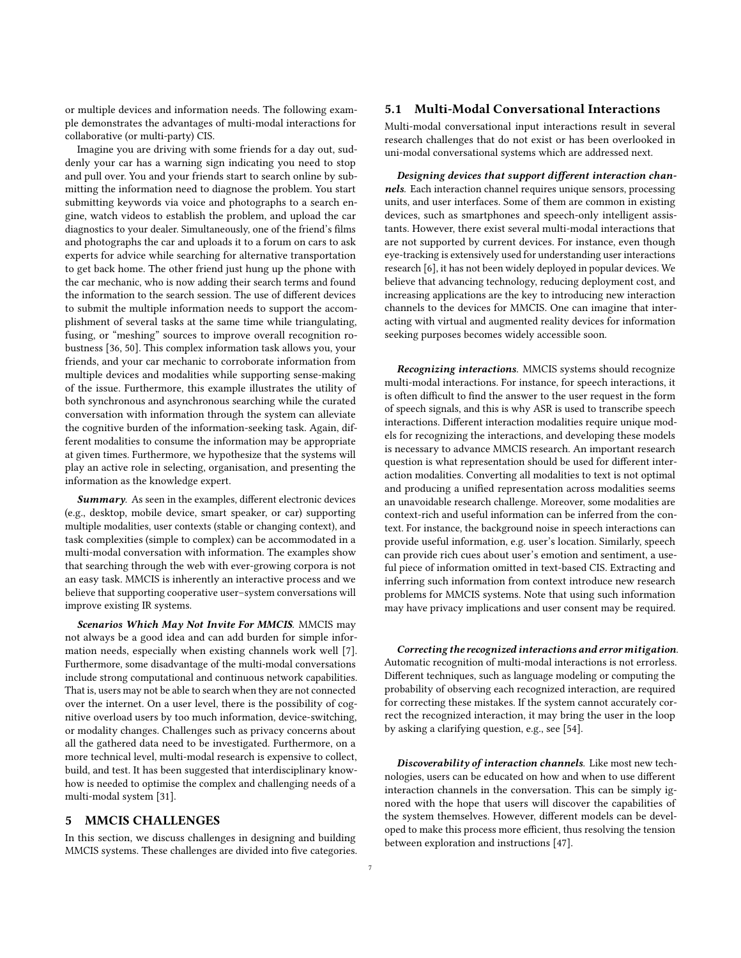or multiple devices and information needs. The following example demonstrates the advantages of multi-modal interactions for collaborative (or multi-party) CIS.

Imagine you are driving with some friends for a day out, suddenly your car has a warning sign indicating you need to stop and pull over. You and your friends start to search online by submitting the information need to diagnose the problem. You start submitting keywords via voice and photographs to a search engine, watch videos to establish the problem, and upload the car diagnostics to your dealer. Simultaneously, one of the friend's films and photographs the car and uploads it to a forum on cars to ask experts for advice while searching for alternative transportation to get back home. The other friend just hung up the phone with the car mechanic, who is now adding their search terms and found the information to the search session. The use of different devices to submit the multiple information needs to support the accomplishment of several tasks at the same time while triangulating, fusing, or "meshing" sources to improve overall recognition robustness [\[36,](#page-9-35) [50\]](#page-10-18). This complex information task allows you, your friends, and your car mechanic to corroborate information from multiple devices and modalities while supporting sense-making of the issue. Furthermore, this example illustrates the utility of both synchronous and asynchronous searching while the curated conversation with information through the system can alleviate the cognitive burden of the information-seeking task. Again, different modalities to consume the information may be appropriate at given times. Furthermore, we hypothesize that the systems will play an active role in selecting, organisation, and presenting the information as the knowledge expert.

Summary. As seen in the examples, different electronic devices (e.g., desktop, mobile device, smart speaker, or car) supporting multiple modalities, user contexts (stable or changing context), and task complexities (simple to complex) can be accommodated in a multi-modal conversation with information. The examples show that searching through the web with ever-growing corpora is not an easy task. MMCIS is inherently an interactive process and we believe that supporting cooperative user–system conversations will improve existing IR systems.

Scenarios Which May Not Invite For MMCIS. MMCIS may not always be a good idea and can add burden for simple information needs, especially when existing channels work well [\[7\]](#page-9-36). Furthermore, some disadvantage of the multi-modal conversations include strong computational and continuous network capabilities. That is, users may not be able to search when they are not connected over the internet. On a user level, there is the possibility of cognitive overload users by too much information, device-switching, or modality changes. Challenges such as privacy concerns about all the gathered data need to be investigated. Furthermore, on a more technical level, multi-modal research is expensive to collect, build, and test. It has been suggested that interdisciplinary knowhow is needed to optimise the complex and challenging needs of a multi-modal system [\[31\]](#page-9-37).

#### <span id="page-6-0"></span>5 MMCIS CHALLENGES

In this section, we discuss challenges in designing and building MMCIS systems. These challenges are divided into five categories.

#### 5.1 Multi-Modal Conversational Interactions

Multi-modal conversational input interactions result in several research challenges that do not exist or has been overlooked in uni-modal conversational systems which are addressed next.

Designing devices that support different interaction channels. Each interaction channel requires unique sensors, processing units, and user interfaces. Some of them are common in existing devices, such as smartphones and speech-only intelligent assistants. However, there exist several multi-modal interactions that are not supported by current devices. For instance, even though eye-tracking is extensively used for understanding user interactions research [\[6\]](#page-9-38), it has not been widely deployed in popular devices. We believe that advancing technology, reducing deployment cost, and increasing applications are the key to introducing new interaction channels to the devices for MMCIS. One can imagine that interacting with virtual and augmented reality devices for information seeking purposes becomes widely accessible soon.

Recognizing interactions. MMCIS systems should recognize multi-modal interactions. For instance, for speech interactions, it is often difficult to find the answer to the user request in the form of speech signals, and this is why ASR is used to transcribe speech interactions. Different interaction modalities require unique models for recognizing the interactions, and developing these models is necessary to advance MMCIS research. An important research question is what representation should be used for different interaction modalities. Converting all modalities to text is not optimal and producing a unified representation across modalities seems an unavoidable research challenge. Moreover, some modalities are context-rich and useful information can be inferred from the context. For instance, the background noise in speech interactions can provide useful information, e.g. user's location. Similarly, speech can provide rich cues about user's emotion and sentiment, a useful piece of information omitted in text-based CIS. Extracting and inferring such information from context introduce new research problems for MMCIS systems. Note that using such information may have privacy implications and user consent may be required.

Correcting the recognized interactions and error mitigation. Automatic recognition of multi-modal interactions is not errorless. Different techniques, such as language modeling or computing the probability of observing each recognized interaction, are required for correcting these mistakes. If the system cannot accurately correct the recognized interaction, it may bring the user in the loop by asking a clarifying question, e.g., see [\[54\]](#page-10-19).

Discoverability of interaction channels. Like most new technologies, users can be educated on how and when to use different interaction channels in the conversation. This can be simply ignored with the hope that users will discover the capabilities of the system themselves. However, different models can be developed to make this process more efficient, thus resolving the tension between exploration and instructions [\[47\]](#page-10-20).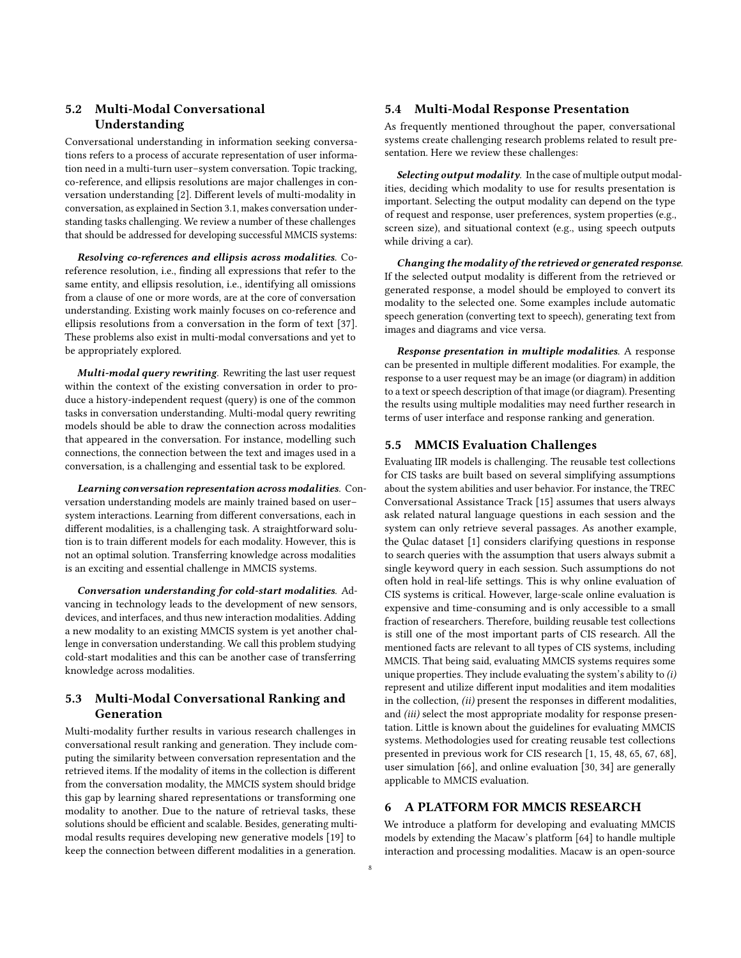## 5.2 Multi-Modal Conversational Understanding

Conversational understanding in information seeking conversations refers to a process of accurate representation of user information need in a multi-turn user–system conversation. Topic tracking, co-reference, and ellipsis resolutions are major challenges in conversation understanding [\[2\]](#page-9-39). Different levels of multi-modality in conversation, as explained in Section [3.1,](#page-2-1) makes conversation understanding tasks challenging. We review a number of these challenges that should be addressed for developing successful MMCIS systems:

Resolving co-references and ellipsis across modalities. Coreference resolution, i.e., finding all expressions that refer to the same entity, and ellipsis resolution, i.e., identifying all omissions from a clause of one or more words, are at the core of conversation understanding. Existing work mainly focuses on co-reference and ellipsis resolutions from a conversation in the form of text [\[37\]](#page-9-40). These problems also exist in multi-modal conversations and yet to be appropriately explored.

Multi-modal query rewriting. Rewriting the last user request within the context of the existing conversation in order to produce a history-independent request (query) is one of the common tasks in conversation understanding. Multi-modal query rewriting models should be able to draw the connection across modalities that appeared in the conversation. For instance, modelling such connections, the connection between the text and images used in a conversation, is a challenging and essential task to be explored.

Learning conversation representation across modalities. Conversation understanding models are mainly trained based on user– system interactions. Learning from different conversations, each in different modalities, is a challenging task. A straightforward solution is to train different models for each modality. However, this is not an optimal solution. Transferring knowledge across modalities is an exciting and essential challenge in MMCIS systems.

Conversation understanding for cold-start modalities. Advancing in technology leads to the development of new sensors, devices, and interfaces, and thus new interaction modalities. Adding a new modality to an existing MMCIS system is yet another challenge in conversation understanding. We call this problem studying cold-start modalities and this can be another case of transferring knowledge across modalities.

## 5.3 Multi-Modal Conversational Ranking and Generation

Multi-modality further results in various research challenges in conversational result ranking and generation. They include computing the similarity between conversation representation and the retrieved items. If the modality of items in the collection is different from the conversation modality, the MMCIS system should bridge this gap by learning shared representations or transforming one modality to another. Due to the nature of retrieval tasks, these solutions should be efficient and scalable. Besides, generating multimodal results requires developing new generative models [\[19\]](#page-9-41) to keep the connection between different modalities in a generation.

### 5.4 Multi-Modal Response Presentation

As frequently mentioned throughout the paper, conversational systems create challenging research problems related to result presentation. Here we review these challenges:

Selecting output modality. In the case of multiple output modalities, deciding which modality to use for results presentation is important. Selecting the output modality can depend on the type of request and response, user preferences, system properties (e.g., screen size), and situational context (e.g., using speech outputs while driving a car).

Changing the modality of the retrieved or generated response. If the selected output modality is different from the retrieved or generated response, a model should be employed to convert its modality to the selected one. Some examples include automatic speech generation (converting text to speech), generating text from images and diagrams and vice versa.

Response presentation in multiple modalities. A response can be presented in multiple different modalities. For example, the response to a user request may be an image (or diagram) in addition to a text or speech description of that image (or diagram). Presenting the results using multiple modalities may need further research in terms of user interface and response ranking and generation.

## 5.5 MMCIS Evaluation Challenges

Evaluating IIR models is challenging. The reusable test collections for CIS tasks are built based on several simplifying assumptions about the system abilities and user behavior. For instance, the TREC Conversational Assistance Track [\[15\]](#page-9-42) assumes that users always ask related natural language questions in each session and the system can only retrieve several passages. As another example, the Qulac dataset [\[1\]](#page-9-43) considers clarifying questions in response to search queries with the assumption that users always submit a single keyword query in each session. Such assumptions do not often hold in real-life settings. This is why online evaluation of CIS systems is critical. However, large-scale online evaluation is expensive and time-consuming and is only accessible to a small fraction of researchers. Therefore, building reusable test collections is still one of the most important parts of CIS research. All the mentioned facts are relevant to all types of CIS systems, including MMCIS. That being said, evaluating MMCIS systems requires some unique properties. They include evaluating the system's ability to  $(i)$ represent and utilize different input modalities and item modalities in the collection, (ii) present the responses in different modalities, and (iii) select the most appropriate modality for response presentation. Little is known about the guidelines for evaluating MMCIS systems. Methodologies used for creating reusable test collections presented in previous work for CIS research [\[1,](#page-9-43) [15,](#page-9-42) [48,](#page-10-21) [65,](#page-10-17) [67,](#page-10-7) [68\]](#page-10-22), user simulation [\[66\]](#page-10-23), and online evaluation [\[30,](#page-9-44) [34\]](#page-9-45) are generally applicable to MMCIS evaluation.

## <span id="page-7-0"></span>6 A PLATFORM FOR MMCIS RESEARCH

We introduce a platform for developing and evaluating MMCIS models by extending the Macaw's platform [\[64\]](#page-10-2) to handle multiple interaction and processing modalities. Macaw is an open-source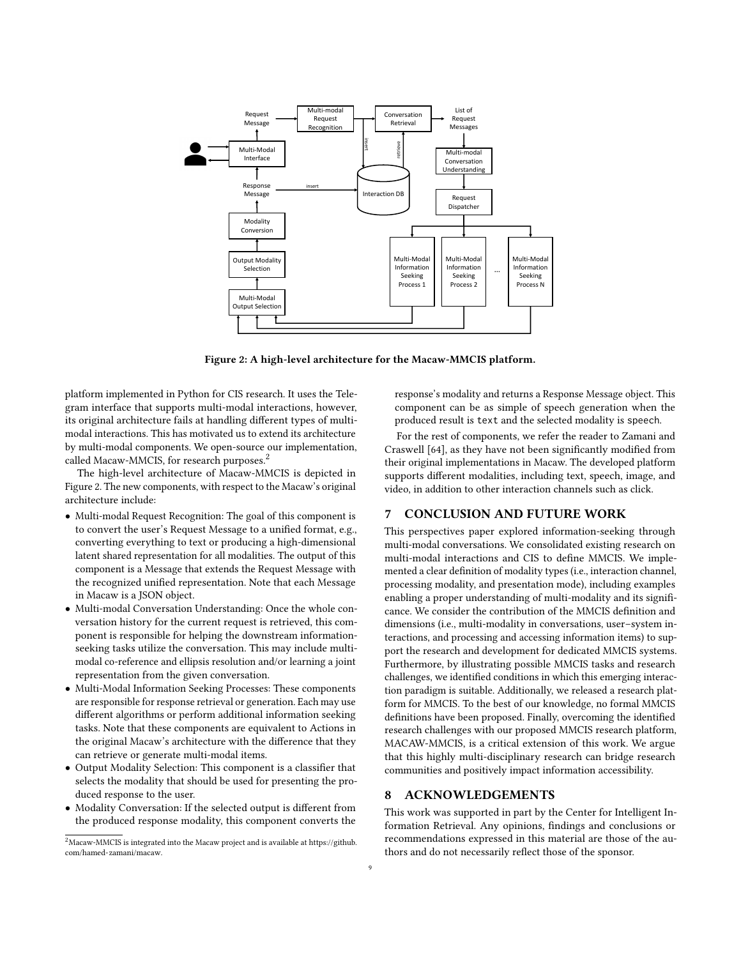<span id="page-8-1"></span>

Figure 2: A high-level architecture for the Macaw-MMCIS platform.

platform implemented in Python for CIS research. It uses the Telegram interface that supports multi-modal interactions, however, its original architecture fails at handling different types of multimodal interactions. This has motivated us to extend its architecture by multi-modal components. We open-source our implementation, called Macaw-MMCIS, for research purposes.<sup>[2](#page-8-0)</sup>

The high-level architecture of Macaw-MMCIS is depicted in Figure [2.](#page-8-1) The new components, with respect to the Macaw's original architecture include:

- Multi-modal Request Recognition: The goal of this component is to convert the user's Request Message to a unified format, e.g., converting everything to text or producing a high-dimensional latent shared representation for all modalities. The output of this component is a Message that extends the Request Message with the recognized unified representation. Note that each Message in Macaw is a JSON object.
- Multi-modal Conversation Understanding: Once the whole conversation history for the current request is retrieved, this component is responsible for helping the downstream informationseeking tasks utilize the conversation. This may include multimodal co-reference and ellipsis resolution and/or learning a joint representation from the given conversation.
- Multi-Modal Information Seeking Processes: These components are responsible for response retrieval or generation. Each may use different algorithms or perform additional information seeking tasks. Note that these components are equivalent to Actions in the original Macaw's architecture with the difference that they can retrieve or generate multi-modal items.
- Output Modality Selection: This component is a classifier that selects the modality that should be used for presenting the produced response to the user.
- Modality Conversation: If the selected output is different from the produced response modality, this component converts the

response's modality and returns a Response Message object. This component can be as simple of speech generation when the produced result is text and the selected modality is speech.

For the rest of components, we refer the reader to Zamani and Craswell [\[64\]](#page-10-2), as they have not been significantly modified from their original implementations in Macaw. The developed platform supports different modalities, including text, speech, image, and video, in addition to other interaction channels such as click.

### 7 CONCLUSION AND FUTURE WORK

This perspectives paper explored information-seeking through multi-modal conversations. We consolidated existing research on multi-modal interactions and CIS to define MMCIS. We implemented a clear definition of modality types (i.e., interaction channel, processing modality, and presentation mode), including examples enabling a proper understanding of multi-modality and its significance. We consider the contribution of the MMCIS definition and dimensions (i.e., multi-modality in conversations, user–system interactions, and processing and accessing information items) to support the research and development for dedicated MMCIS systems. Furthermore, by illustrating possible MMCIS tasks and research challenges, we identified conditions in which this emerging interaction paradigm is suitable. Additionally, we released a research platform for MMCIS. To the best of our knowledge, no formal MMCIS definitions have been proposed. Finally, overcoming the identified research challenges with our proposed MMCIS research platform, MACAW-MMCIS, is a critical extension of this work. We argue that this highly multi-disciplinary research can bridge research communities and positively impact information accessibility.

## 8 ACKNOWLEDGEMENTS

This work was supported in part by the Center for Intelligent Information Retrieval. Any opinions, findings and conclusions or recommendations expressed in this material are those of the authors and do not necessarily reflect those of the sponsor.

<span id="page-8-0"></span> $^2$ Macaw-MMCIS is integrated into the Macaw project and is available at [https://github.](https://github.com/hamed-zamani/macaw) [com/hamed-zamani/macaw.](https://github.com/hamed-zamani/macaw)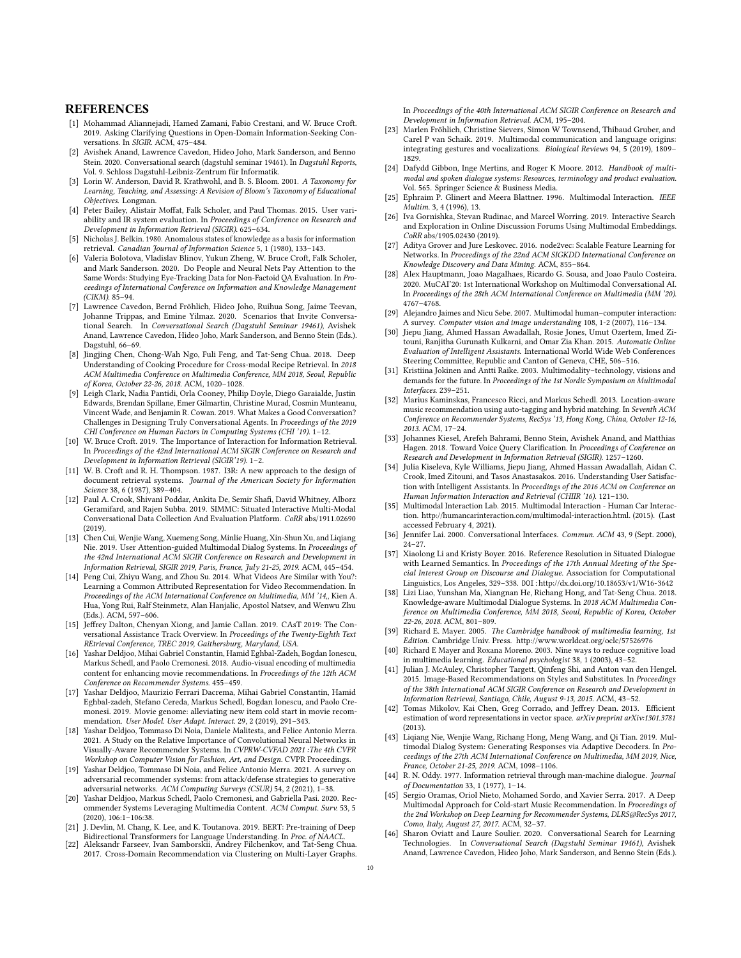#### **REFERENCES**

- <span id="page-9-43"></span>[1] Mohammad Aliannejadi, Hamed Zamani, Fabio Crestani, and W. Bruce Croft. 2019. Asking Clarifying Questions in Open-Domain Information-Seeking Conversations. In SIGIR. ACM, 475–484.
- <span id="page-9-39"></span>[2] Avishek Anand, Lawrence Cavedon, Hideo Joho, Mark Sanderson, and Benno Stein. 2020. Conversational search (dagstuhl seminar 19461). In Dagstuhl Reports, Vol. 9. Schloss Dagstuhl-Leibniz-Zentrum für Informatik.
- <span id="page-9-34"></span>[3] Lorin W. Anderson, David R. Krathwohl, and B. S. Bloom. 2001. A Taxonomy for Learning, Teaching, and Assessing: A Revision of Bloom's Taxonomy of Educational Objectives. Longman.
- <span id="page-9-33"></span>[4] Peter Bailey, Alistair Moffat, Falk Scholer, and Paul Thomas. 2015. User variability and IR system evaluation. In Proceedings of Conference on Research and Development in Information Retrieval (SIGIR). 625–634.
- <span id="page-9-5"></span>[5] Nicholas J. Belkin. 1980. Anomalous states of knowledge as a basis for information retrieval. Canadian Journal of Information Science 5, 1 (1980), 133–143.
- <span id="page-9-38"></span>[6] Valeria Bolotova, Vladislav Blinov, Yukun Zheng, W. Bruce Croft, Falk Scholer, and Mark Sanderson. 2020. Do People and Neural Nets Pay Attention to the Same Words: Studying Eye-Tracking Data for Non-Factoid QA Evaluation. In Proceedings of International Conference on Information and Knowledge Management (CIKM). 85–94.
- <span id="page-9-36"></span>[7] Lawrence Cavedon, Bernd Fröhlich, Hideo Joho, Ruihua Song, Jaime Teevan, Johanne Trippas, and Emine Yilmaz. 2020. Scenarios that Invite Conversational Search. In Conversational Search (Dagstuhl Seminar 19461), Avishek Anand, Lawrence Cavedon, Hideo Joho, Mark Sanderson, and Benno Stein (Eds.). Dagstuhl, 66–69.
- <span id="page-9-19"></span>[8] Jingjing Chen, Chong-Wah Ngo, Fuli Feng, and Tat-Seng Chua. 2018. Deep Understanding of Cooking Procedure for Cross-modal Recipe Retrieval. In 2018 ACM Multimedia Conference on Multimedia Conference, MM 2018, Seoul, Republic of Korea, October 22-26, 2018. ACM, 1020–1028.
- <span id="page-9-2"></span>[9] Leigh Clark, Nadia Pantidi, Orla Cooney, Philip Doyle, Diego Garaialde, Justin Edwards, Brendan Spillane, Emer Gilmartin, Christine Murad, Cosmin Munteanu, Vincent Wade, and Benjamin R. Cowan. 2019. What Makes a Good Conversation? Challenges in Designing Truly Conversational Agents. In Proceedings of the 2019 CHI Conference on Human Factors in Computing Systems (CHI '19). 1–12.
- <span id="page-9-4"></span>[10] W. Bruce Croft. 2019. The Importance of Interaction for Information Retrieval. In Proceedings of the 42nd International ACM SIGIR Conference on Research and Development in Information Retrieval (SIGIR'19). 1–2.
- <span id="page-9-0"></span>[11] W. B. Croft and R. H. Thompson. 1987. I3R: A new approach to the design of document retrieval systems. Journal of the American Society for Information Science 38, 6 (1987), 389–404.
- <span id="page-9-24"></span>[12] Paul A. Crook, Shivani Poddar, Ankita De, Semir Shafi, David Whitney, Alborz Geramifard, and Rajen Subba. 2019. SIMMC: Situated Interactive Multi-Modal Conversational Data Collection And Evaluation Platform. CoRR abs/1911.02690 (2019).
- <span id="page-9-23"></span>[13] Chen Cui, Wenjie Wang, Xuemeng Song, Minlie Huang, Xin-Shun Xu, and Liqiang Nie. 2019. User Attention-guided Multimodal Dialog Systems. In Proceedings of the 42nd International ACM SIGIR Conference on Research and Development in Information Retrieval, SIGIR 2019, Paris, France, July 21-25, 2019. ACM, 445–454.
- <span id="page-9-11"></span>[14] Peng Cui, Zhiyu Wang, and Zhou Su. 2014. What Videos Are Similar with You?: Learning a Common Attributed Representation for Video Recommendation. In Proceedings of the ACM International Conference on Multimedia, MM '14,, Kien A. Hua, Yong Rui, Ralf Steinmetz, Alan Hanjalic, Apostol Natsev, and Wenwu Zhu (Eds.). ACM, 597–606.
- <span id="page-9-42"></span>[15] Jeffrey Dalton, Chenyan Xiong, and Jamie Callan. 2019. CAsT 2019: The Conversational Assistance Track Overview. In Proceedings of the Twenty-Eighth Text REtrieval Conference, TREC 2019, Gaithersburg, Maryland, USA.
- <span id="page-9-8"></span>[16] Yashar Deldjoo, Mihai Gabriel Constantin, Hamid Eghbal-Zadeh, Bogdan Ionescu, Markus Schedl, and Paolo Cremonesi. 2018. Audio-visual encoding of multimedia content for enhancing movie recommendations. In Proceedings of the 12th ACM Conference on Recommender Systems. 455–459.
- <span id="page-9-12"></span>[17] Yashar Deldjoo, Maurizio Ferrari Dacrema, Mihai Gabriel Constantin, Hamid Eghbal-zadeh, Stefano Cereda, Markus Schedl, Bogdan Ionescu, and Paolo Cremonesi. 2019. Movie genome: alleviating new item cold start in movie recommendation. User Model. User Adapt. Interact. 29, 2 (2019), 291–343.
- <span id="page-9-9"></span>[18] Yashar Deldjoo, Tommaso Di Noia, Daniele Malitesta, and Felice Antonio Merra. 2021. A Study on the Relative Importance of Convolutional Neural Networks in Visually-Aware Recommender Systems. In CVPRW-CVFAD 2021 :The 4th CVPR Workshop on Computer Vision for Fashion, Art, and Design. CVPR Proceedings.
- <span id="page-9-41"></span>[19] Yashar Deldjoo, Tommaso Di Noia, and Felice Antonio Merra. 2021. A survey on adversarial recommender systems: from attack/defense strategies to generative adversarial networks. ACM Computing Surveys (CSUR) 54, 2 (2021), 1-38.
- <span id="page-9-14"></span>[20] Yashar Deldjoo, Markus Schedl, Paolo Cremonesi, and Gabriella Pasi. 2020. Recommender Systems Leveraging Multimedia Content. ACM Comput. Surv. 53, 5 (2020), 106:1–106:38.
- <span id="page-9-17"></span>[21] J. Devlin, M. Chang, K. Lee, and K. Toutanova. 2019. BERT: Pre-training of Deep Bidirectional Transformers for Language Understanding. In Proc. of NAACL. [22] Aleksandr Farseev, Ivan Samborskii, Andrey Filchenkov, and Tat-Seng Chua.
- <span id="page-9-18"></span>2017. Cross-Domain Recommendation via Clustering on Multi-Layer Graphs.

In Proceedings of the 40th International ACM SIGIR Conference on Research and Development in Information Retrieval. ACM, 195–204.

- <span id="page-9-28"></span>[23] Marlen Fröhlich, Christine Sievers, Simon W Townsend, Thibaud Gruber, and Carel P van Schaik. 2019. Multimodal communication and language origins: integrating gestures and vocalizations. Biological Reviews 94, 5 (2019), 1809– 1829.
- <span id="page-9-32"></span>[24] Dafydd Gibbon, Inge Mertins, and Roger K Moore. 2012. Handbook of multimodal and spoken dialogue systems: Resources, terminology and product evaluation. Vol. 565. Springer Science & Business Media.
- <span id="page-9-31"></span>[25] Ephraim P. Glinert and Meera Blattner. 1996. Multimodal Interaction. IEEE Multim. 3, 4 (1996), 13.
- <span id="page-9-15"></span>[26] Iva Gornishka, Stevan Rudinac, and Marcel Worring. 2019. Interactive Search and Exploration in Online Discussion Forums Using Multimodal Embeddings. CoRR abs/1905.02430 (2019).
- <span id="page-9-20"></span>[27] Aditya Grover and Jure Leskovec. 2016. node2vec: Scalable Feature Learning for Networks. In Proceedings of the 22nd ACM SIGKDD International Conference on Knowledge Discovery and Data Mining. ACM, 855–864.
- <span id="page-9-29"></span>[28] Alex Hauptmann, Joao Magalhaes, Ricardo G. Sousa, and Joao Paulo Costeira. 2020. MuCAI'20: 1st International Workshop on Multimodal Conversational AI. In Proceedings of the 28th ACM International Conference on Multimedia (MM '20). 4767–4768.
- <span id="page-9-3"></span>[29] Alejandro Jaimes and Nicu Sebe. 2007. Multimodal human–computer interaction: A survey. Computer vision and image understanding 108, 1-2 (2007), 116–134.
- <span id="page-9-44"></span>[30] Jiepu Jiang, Ahmed Hassan Awadallah, Rosie Jones, Umut Ozertem, Imed Zitouni, Ranjitha Gurunath Kulkarni, and Omar Zia Khan. 2015. Automatic Online Evaluation of Intelligent Assistants. International World Wide Web Conferences Steering Committee, Republic and Canton of Geneva, CHE, 506–516.
- <span id="page-9-37"></span>[31] Kristiina Jokinen and Antti Raike. 2003. Multimodality–technology, visions and demands for the future. In Proceedings of the 1st Nordic Symposium on Multimodal Interfaces. 239–251.
- <span id="page-9-7"></span>[32] Marius Kaminskas, Francesco Ricci, and Markus Schedl. 2013. Location-aware music recommendation using auto-tagging and hybrid matching. In Seventh ACM Conference on Recommender Systems, RecSys '13, Hong Kong, China, October 12-16, 2013. ACM, 17–24.
- <span id="page-9-6"></span>[33] Johannes Kiesel, Arefeh Bahrami, Benno Stein, Avishek Anand, and Matthias Hagen. 2018. Toward Voice Query Clarification. In Proceedings of Conference on Research and Development in Information Retrieval (SIGIR). 1257–1260.
- <span id="page-9-45"></span>[34] Julia Kiseleva, Kyle Williams, Jiepu Jiang, Ahmed Hassan Awadallah, Aidan C. Crook, Imed Zitouni, and Tasos Anastasakos. 2016. Understanding User Satisfaction with Intelligent Assistants. In Proceedings of the 2016 ACM on Conference on Human Information Interaction and Retrieval (CHIIR '16). 121–130.
- <span id="page-9-26"></span>[35] Multimodal Interaction Lab. 2015. Multimodal Interaction - Human Car Interaction. http://humancarinteraction.com/multimodal-interaction.html. (2015). (Last accessed February 4, 2021).
- <span id="page-9-35"></span>[36] Jennifer Lai. 2000. Conversational Interfaces. Commun. ACM 43, 9 (Sept. 2000), 24–27.
- <span id="page-9-40"></span>[37] Xiaolong Li and Kristy Boyer. 2016. Reference Resolution in Situated Dialogue with Learned Semantics. In Proceedings of the 17th Annual Meeting of the Special Interest Group on Discourse and Dialogue. Association for Computational Linguistics, Los Angeles, 329–338. DOI:<http://dx.doi.org/10.18653/v1/W16-3642>
- <span id="page-9-22"></span>[38] Lizi Liao, Yunshan Ma, Xiangnan He, Richang Hong, and Tat-Seng Chua. 2018. Knowledge-aware Multimodal Dialogue Systems. In 2018 ACM Multimedia Conference on Multimedia Conference, MM 2018, Seoul, Republic of Korea, October 22-26, 2018. ACM, 801–809.
- <span id="page-9-25"></span>[39] Richard E. Mayer. 2005. The Cambridge handbook of multimedia learning, 1st Edition. Cambridge Univ. Press.<http://www.worldcat.org/oclc/57526976>
- <span id="page-9-27"></span>[40] Richard E Mayer and Roxana Moreno. 2003. Nine ways to reduce cognitive load in multimedia learning. Educational psychologist 38, 1 (2003), 43–52.
- <span id="page-9-10"></span>[41] Julian J. McAuley, Christopher Targett, Qinfeng Shi, and Anton van den Hengel. 2015. Image-Based Recommendations on Styles and Substitutes. In Proceedings of the 38th International ACM SIGIR Conference on Research and Development in Information Retrieval, Santiago, Chile, August 9-13, 2015. ACM, 43–52.
- <span id="page-9-16"></span>[42] Tomas Mikolov, Kai Chen, Greg Corrado, and Jeffrey Dean. 2013. Efficient estimation of word representations in vector space. arXiv preprint arXiv:1301.3781 (2013).
- <span id="page-9-21"></span>[43] Liqiang Nie, Wenjie Wang, Richang Hong, Meng Wang, and Qi Tian. 2019. Multimodal Dialog System: Generating Responses via Adaptive Decoders. In Proceedings of the 27th ACM International Conference on Multimedia, MM 2019, Nice, France, October 21-25, 2019. ACM, 1098–1106.
- <span id="page-9-1"></span>[44] R. N. Oddy. 1977. Information retrieval through man-machine dialogue. Journal of Documentation 33, 1 (1977), 1–14.
- <span id="page-9-13"></span>[45] Sergio Oramas, Oriol Nieto, Mohamed Sordo, and Xavier Serra. 2017. A Deep Multimodal Approach for Cold-start Music Recommendation. In Proceedings of the 2nd Workshop on Deep Learning for Recommender Systems, DLRS@RecSys 2017, Como, Italy, August 27, 2017. ACM, 32–37.
- <span id="page-9-30"></span>[46] Sharon Oviatt and Laure Soulier. 2020. Conversational Search for Learning Technologies. In Conversational Search (Dagstuhl Seminar 19461), Avishek Anand, Lawrence Cavedon, Hideo Joho, Mark Sanderson, and Benno Stein (Eds.).